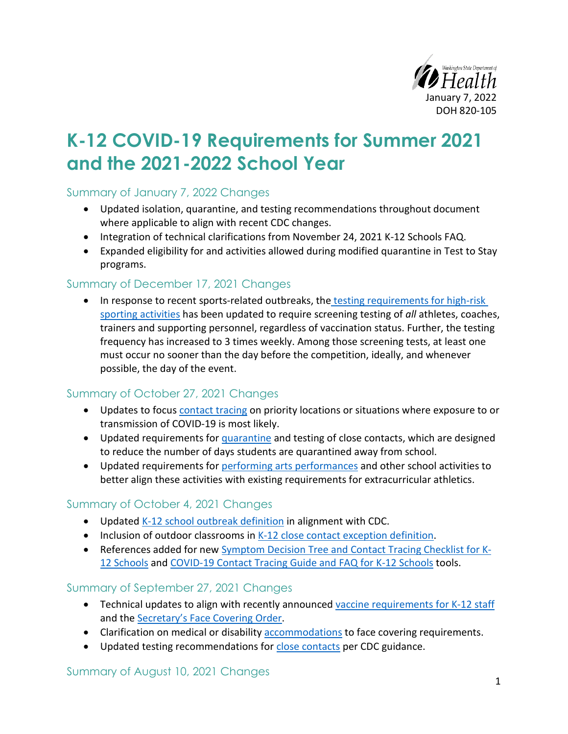

# **K-12 COVID-19 Requirements for Summer 2021 and the 2021-2022 School Year**

#### Summary of January 7, 2022 Changes

- Updated isolation, quarantine, and testing recommendations throughout document where applicable to align with recent CDC changes.
- Integration of technical clarifications from November 24, 2021 K-12 Schools FAQ.
- Expanded eligibility for and activities allowed during modified quarantine in Test to Stay programs.

#### Summary of December 17, 2021 Changes

• In response to recent sports-related outbreaks, the testing requirements for high-risk [sporting activities](#page-21-0) has been updated to require screening testing of *all* athletes, coaches, trainers and supporting personnel, regardless of vaccination status. Further, the testing frequency has increased to 3 times weekly. Among those screening tests, at least one must occur no sooner than the day before the competition, ideally, and whenever possible, the day of the event.

## Summary of October 27, 2021 Changes

- Updates to focus [contact tracing](#page-11-0) on priority locations or situations where exposure to or transmission of COVID-19 is most likely.
- Updated requirements for [quarantine](#page-12-0) and testing of close contacts, which are designed to reduce the number of days students are quarantined away from school.
- Updated requirements for [performing arts](#page-17-0) performances and other school activities to better align these activities with existing requirements for extracurricular athletics.

## Summary of October 4, 2021 Changes

- Updated [K-12 school outbreak definition](#page-13-0) in alignment with CDC.
- Inclusion of outdoor classrooms in [K-12 close contact exception definition.](#page-11-0)
- References added for new [Symptom Decision Tree and Contact Tracing Checklist for K-](https://www.doh.wa.gov/Portals/1/Documents/1600/coronavirus/820-229-SymptomDecisionTreeCTChecklistSchools.pdf)[12 Schools](https://www.doh.wa.gov/Portals/1/Documents/1600/coronavirus/820-229-SymptomDecisionTreeCTChecklistSchools.pdf) an[d COVID-19 Contact Tracing Guide and FAQ for K-12 Schools](https://www.doh.wa.gov/Portals/1/Documents/1600/coronavirus/820-230-ContactTracingGuideFAQSchools.pdf) tools.

#### Summary of September 27, 2021 Changes

- Technical updates to align with recently announce[d vaccine requirements for K-12 staff](#page-2-0) and the [Secretary's Face Covering Order.](#page-3-0)
- Clarification on medical or disability [accommodations](#page-5-0) to face covering requirements.
- Updated testing recommendations for [close contacts](#page-11-0) per CDC guidance.

#### Summary of August 10, 2021 Changes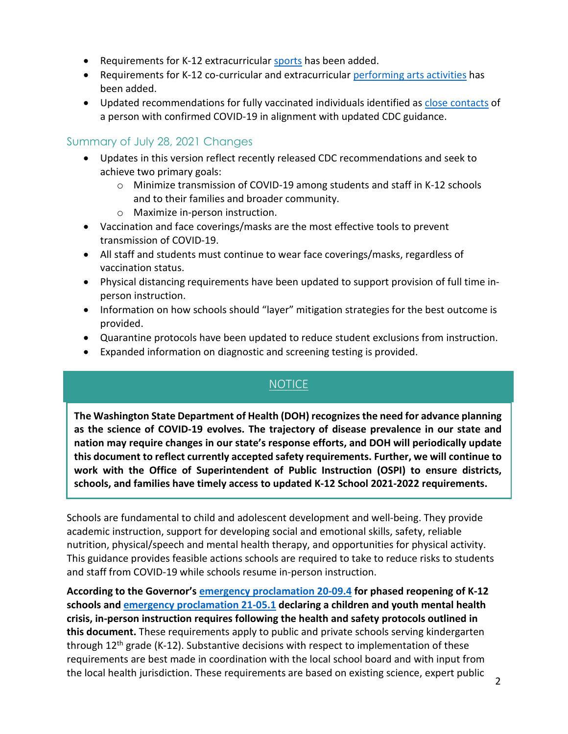- Requirements for K-12 extracurricular [sports](#page-19-0) has been added.
- Requirements for K-12 co-curricular and extracurricular [performing arts activities](#page-17-0) has been added.
- Updated recommendations for fully vaccinated individuals identified as [close contacts](#page-11-0) of a person with confirmed COVID-19 in alignment with updated CDC guidance.

### Summary of July 28, 2021 Changes

- Updates in this version reflect recently released CDC recommendations and seek to achieve two primary goals:
	- o Minimize transmission of COVID-19 among students and staff in K-12 schools and to their families and broader community.
	- o Maximize in-person instruction.
- Vaccination and face coverings/masks are the most effective tools to prevent transmission of COVID-19.
- All staff and students must continue to wear face coverings/masks, regardless of vaccination status.
- Physical distancing requirements have been updated to support provision of full time inperson instruction.
- Information on how schools should "layer" mitigation strategies for the best outcome is provided.
- Quarantine protocols have been updated to reduce student exclusions from instruction.
- Expanded information on diagnostic and screening testing is provided.

# NOTICE

**The Washington State Department of Health (DOH) recognizes the need for advance planning as the science of COVID-19 evolves. The trajectory of disease prevalence in our state and nation may require changes in our state's response efforts, and DOH will periodically update this document to reflect currently accepted safety requirements. Further, we will continue to work with the Office of Superintendent of Public Instruction (OSPI) to ensure districts, schools, and families have timely access to updated K-12 School 2021-2022 requirements.**

Schools are fundamental to child and adolescent development and well-being. They provide academic instruction, support for developing social and emotional skills, safety, reliable nutrition, physical/speech and mental health therapy, and opportunities for physical activity. This guidance provides feasible actions schools are required to take to reduce risks to students and staff from COVID-19 while schools resume in-person instruction.

**According to the Governor's [emergency proclamation 20-09.4](https://www.governor.wa.gov/sites/default/files/proclamations/20-09.4-COVID-19K-12Schools.pdf) for phased reopening of K-12 schools and [emergency proclamation 21-05.1](https://www.governor.wa.gov/sites/default/files/proclamations/proc_21-05.1.pdf) declaring a children and youth mental health crisis, in-person instruction requires following the health and safety protocols outlined in this document.** These requirements apply to public and private schools serving kindergarten through  $12<sup>th</sup>$  grade (K-12). Substantive decisions with respect to implementation of these requirements are best made in coordination with the local school board and with input from the local health jurisdiction. These requirements are based on existing science, expert public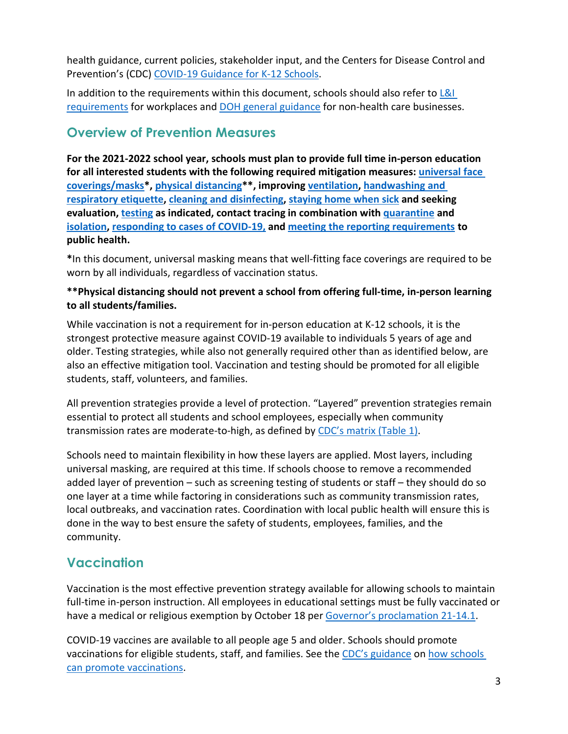health guidance, current policies, stakeholder input, and the Centers for Disease Control and Prevention's (CDC) [COVID-19 Guidance for K-12 Schools.](https://www.cdc.gov/coronavirus/2019-ncov/community/schools-childcare/k-12-guidance.html)

In addition to the requirements within this document, schools should also refer to  $\lfloor 8 \rfloor$ [requirements](https://www.lni.wa.gov/forms-publications/F414-164-000.pdf) for workplaces an[d DOH general guidance](https://www.doh.wa.gov/Portals/1/Documents/1600/coronavirus/420-350-NonHealthCareBusiness.pdf) for non-health care businesses.

# <span id="page-2-1"></span>**Overview of Prevention Measures**

**For the 2021-2022 school year, schools must plan to provide full time in-person education for all interested students with the following required mitigation measures: [universal face](#page-3-0)  [coverings/masks\\*](#page-3-0), [physical distancing\\*](#page-5-1)\*, improving [ventilation,](#page-6-0) [handwashing and](#page-7-0)  [respiratory etiquette,](#page-7-0) [cleaning and disinfecting,](#page-15-0) [staying home when sick](#page-8-0) and seeking evaluation, [testing](#page-6-0) as indicated, contact tracing in combination with [quarantine](#page-12-0) and [isolation,](#page-10-0) [responding to cases of COVID-19,](#page-9-0) and meeting the reporting requirements to public health.**

**\***In this document, universal masking means that well-fitting face coverings are required to be worn by all individuals, regardless of vaccination status.

#### **\*\*Physical distancing should not prevent a school from offering full-time, in-person learning to all students/families.**

While vaccination is not a requirement for in-person education at K-12 schools, it is the strongest protective measure against COVID-19 available to individuals 5 years of age and older. Testing strategies, while also not generally required other than as identified below, are also an effective mitigation tool. Vaccination and testing should be promoted for all eligible students, staff, volunteers, and families.

All prevention strategies provide a level of protection. "Layered" prevention strategies remain essential to protect all students and school employees, especially when community transmission rates are moderate-to-high, as defined by [CDC's matrix \(Table 1\).](https://www.cdc.gov/coronavirus/2019-ncov/community/schools-childcare/k-12-guidance.html)

Schools need to maintain flexibility in how these layers are applied. Most layers, including universal masking, are required at this time. If schools choose to remove a recommended added layer of prevention – such as screening testing of students or staff – they should do so one layer at a time while factoring in considerations such as community transmission rates, local outbreaks, and vaccination rates. Coordination with local public health will ensure this is done in the way to best ensure the safety of students, employees, families, and the community.

# <span id="page-2-0"></span>**Vaccination**

Vaccination is the most effective prevention strategy available for allowing schools to maintain full-time in-person instruction. All employees in educational settings must be fully vaccinated or have a medical or religious exemption by October 18 per [Governor's proclamation 21-14.1.](https://www.governor.wa.gov/sites/default/files/proclamations/21-14.1%20-%20COVID-19%20Vax%20Washington%20Amendment.pdf?utm_medium=email&utm_source=govdelivery)

COVID-19 vaccines are available to all people age 5 and older. Schools should promote vaccinations for eligible students, staff, and families. See the [CDC's guidance](https://www.cdc.gov/coronavirus/2019-ncov/community/schools-childcare/k-12-guidance.html) on how schools [can promote vaccinations.](https://www.cdc.gov/coronavirus/2019-ncov/community/schools-childcare/k-12-guidance.html#vaccination)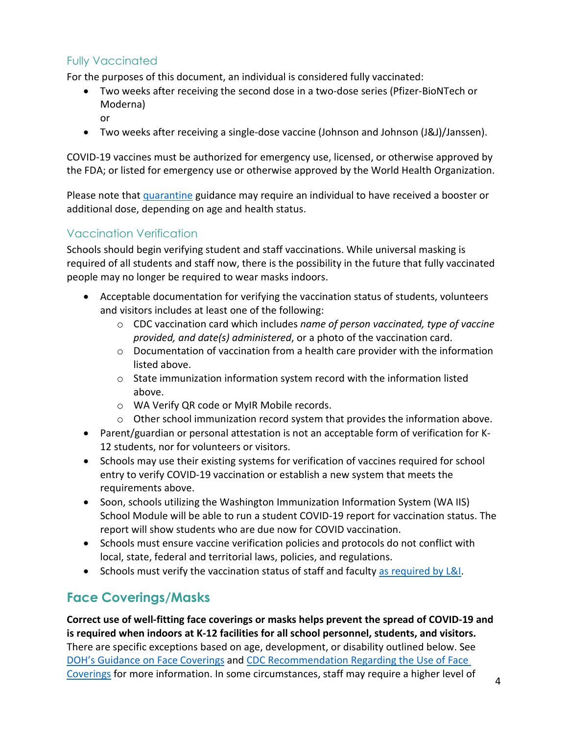# Fully Vaccinated

or

For the purposes of this document, an individual is considered fully vaccinated:

- Two weeks after receiving the second dose in a two-dose series (Pfizer-BioNTech or Moderna)
- Two weeks after receiving a single-dose vaccine (Johnson and Johnson (J&J)/Janssen).

COVID-19 vaccines must be authorized for emergency use, licensed, or otherwise approved by the FDA; or listed for emergency use or otherwise approved by the World Health Organization.

Please note that [quarantine](#page-12-0) guidance may require an individual to have received a booster or additional dose, depending on age and health status.

## Vaccination Verification

Schools should begin verifying student and staff vaccinations. While universal masking is required of all students and staff now, there is the possibility in the future that fully vaccinated people may no longer be required to wear masks indoors.

- Acceptable documentation for verifying the vaccination status of students, volunteers and visitors includes at least one of the following:
	- o CDC vaccination card which includes *name of person vaccinated, type of vaccine provided, and date(s) administered*, or a photo of the vaccination card.
	- o Documentation of vaccination from a health care provider with the information listed above.
	- $\circ$  State immunization information system record with the information listed above.
	- o WA Verify QR code or MyIR Mobile records.
	- $\circ$  Other school immunization record system that provides the information above.
- Parent/guardian or personal attestation is not an acceptable form of verification for K-12 students, nor for volunteers or visitors.
- Schools may use their existing systems for verification of vaccines required for school entry to verify COVID-19 vaccination or establish a new system that meets the requirements above.
- Soon, schools utilizing the Washington Immunization Information System (WA IIS) School Module will be able to run a student COVID-19 report for vaccination status. The report will show students who are due now for COVID vaccination.
- Schools must ensure vaccine verification policies and protocols do not conflict with local, state, federal and territorial laws, policies, and regulations.
- Schools must verify the vaccination status of staff and faculty [as required by L&I.](https://www.lni.wa.gov/forms-publications/F414-164-000.pdf)

# <span id="page-3-0"></span>**Face Coverings/Masks**

**Correct use of well-fitting face coverings or masks helps prevent the spread of COVID-19 and is required when indoors at K-12 facilities for all school personnel, students, and visitors.** There are specific exceptions based on age, development, or disability outlined below. See [DOH's Guidance on Face Coverings](https://www.doh.wa.gov/Portals/1/Documents/1600/coronavirus/ClothFacemasks.pdf) and [CDC Recommendation Regarding the Use of Face](https://www.cdc.gov/coronavirus/2019-ncov/prevent-getting-sick/cloth-face-cover.html)  [Coverings](https://www.cdc.gov/coronavirus/2019-ncov/prevent-getting-sick/cloth-face-cover.html) for more information. In some circumstances, staff may require a higher level of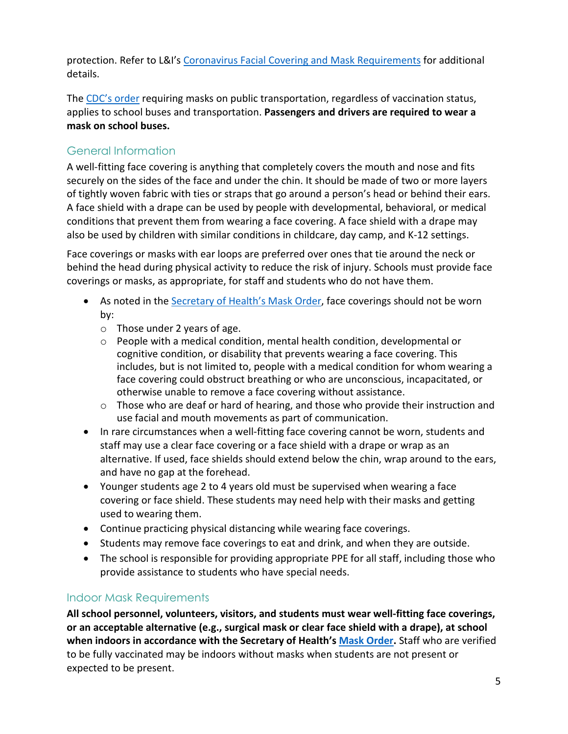protection. Refer to L&I's [Coronavirus Facial Covering and Mask Requirements](https://www.lni.wa.gov/agency/_docs/wacoronavirushazardconsiderationsemployers.pdf) for additional details.

The [CDC's order](https://www.cdc.gov/quarantine/masks/mask-travel-guidance.html) requiring masks on public transportation, regardless of vaccination status, applies to school buses and transportation. **Passengers and drivers are required to wear a mask on school buses.**

# General Information

A well-fitting face covering is anything that completely covers the mouth and nose and fits securely on the sides of the face and under the chin. It should be made of two or more layers of tightly woven fabric with ties or straps that go around a person's head or behind their ears. A face shield with a drape can be used by people with developmental, behavioral, or medical conditions that prevent them from wearing a face covering. A face shield with a drape may also be used by children with similar conditions in childcare, day camp, and K-12 settings.

Face coverings or masks with ear loops are preferred over ones that tie around the neck or behind the head during physical activity to reduce the risk of injury. Schools must provide face coverings or masks, as appropriate, for staff and students who do not have them.

- As noted in the [Secretary of Health's Mask Order,](https://www.doh.wa.gov/Portals/1/Documents/1600/coronavirus/Secretary_of_Health_Order_20-03_Statewide_Face_Coverings.pdf) face coverings should not be worn by:
	- o Those under 2 years of age.
	- o People with a medical condition, mental health condition, developmental or cognitive condition, or disability that prevents wearing a face covering. This includes, but is not limited to, people with a medical condition for whom wearing a face covering could obstruct breathing or who are unconscious, incapacitated, or otherwise unable to remove a face covering without assistance.
	- $\circ$  Those who are deaf or hard of hearing, and those who provide their instruction and use facial and mouth movements as part of communication.
- In rare circumstances when a well-fitting face covering cannot be worn, students and staff may use a clear face covering or a face shield with a drape or wrap as an alternative. If used, face shields should extend below the chin, wrap around to the ears, and have no gap at the forehead.
- Younger students age 2 to 4 years old must be supervised when wearing a face covering or face shield. These students may need help with their masks and getting used to wearing them.
- Continue practicing physical distancing while wearing face coverings.
- Students may remove face coverings to eat and drink, and when they are outside.
- The school is responsible for providing appropriate PPE for all staff, including those who provide assistance to students who have special needs.

#### Indoor Mask Requirements

**All school personnel, volunteers, visitors, and students must wear well-fitting face coverings, or an acceptable alternative (e.g., surgical mask or clear face shield with a drape), at school when indoors in accordance with the Secretary of Health's [Mask Order.](https://www.doh.wa.gov/Portals/1/Documents/1600/coronavirus/Secretary_of_Health_Order_20-03_Statewide_Face_Coverings.pdf)** Staff who are verified to be fully vaccinated may be indoors without masks when students are not present or expected to be present.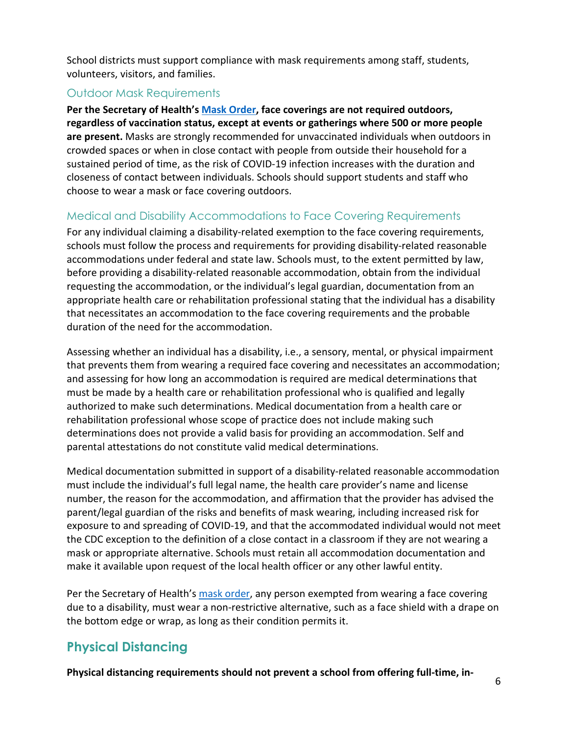School districts must support compliance with mask requirements among staff, students, volunteers, visitors, and families.

#### Outdoor Mask Requirements

**Per the Secretary of Health's [Mask Order,](https://www.doh.wa.gov/Portals/1/Documents/1600/coronavirus/Secretary_of_Health_Order_20-03_Statewide_Face_Coverings.pdf) face coverings are not required outdoors, regardless of vaccination status, except at events or gatherings where 500 or more people are present.** Masks are strongly recommended for unvaccinated individuals when outdoors in crowded spaces or when in close contact with people from outside their household for a sustained period of time, as the risk of COVID-19 infection increases with the duration and closeness of contact between individuals. Schools should support students and staff who choose to wear a mask or face covering outdoors.

## <span id="page-5-0"></span>Medical and Disability Accommodations to Face Covering Requirements

For any individual claiming a disability-related exemption to the face covering requirements, schools must follow the process and requirements for providing disability-related reasonable accommodations under federal and state law. Schools must, to the extent permitted by law, before providing a disability-related reasonable accommodation, obtain from the individual requesting the accommodation, or the individual's legal guardian, documentation from an appropriate health care or rehabilitation professional stating that the individual has a disability that necessitates an accommodation to the face covering requirements and the probable duration of the need for the accommodation.

Assessing whether an individual has a disability, i.e., a sensory, mental, or physical impairment that prevents them from wearing a required face covering and necessitates an accommodation; and assessing for how long an accommodation is required are medical determinations that must be made by a health care or rehabilitation professional who is qualified and legally authorized to make such determinations. Medical documentation from a health care or rehabilitation professional whose scope of practice does not include making such determinations does not provide a valid basis for providing an accommodation. Self and parental attestations do not constitute valid medical determinations.

Medical documentation submitted in support of a disability-related reasonable accommodation must include the individual's full legal name, the health care provider's name and license number, the reason for the accommodation, and affirmation that the provider has advised the parent/legal guardian of the risks and benefits of mask wearing, including increased risk for exposure to and spreading of COVID-19, and that the accommodated individual would not meet the CDC exception to the definition of a close contact in a classroom if they are not wearing a mask or appropriate alternative. Schools must retain all accommodation documentation and make it available upon request of the local health officer or any other lawful entity.

Per the Secretary of Health's [mask order,](https://www.doh.wa.gov/Portals/1/Documents/1600/coronavirus/Secretary_of_Health_Order_20-03_Statewide_Face_Coverings.pdf) any person exempted from wearing a face covering due to a disability, must wear a non-restrictive alternative, such as a face shield with a drape on the bottom edge or wrap, as long as their condition permits it.

# <span id="page-5-1"></span>**Physical Distancing**

**Physical distancing requirements should not prevent a school from offering full-time, in-**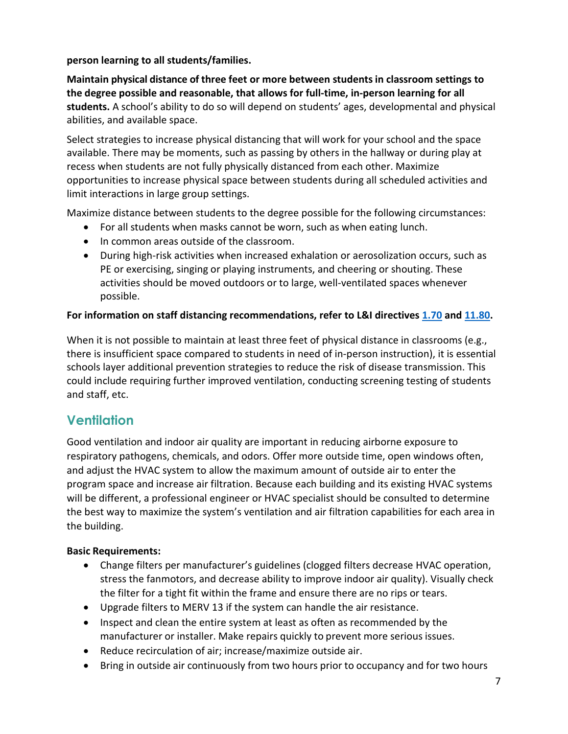#### **person learning to all students/families.**

**Maintain physical distance of three feet or more between students in classroom settings to the degree possible and reasonable, that allows for full-time, in-person learning for all students.** A school's ability to do so will depend on students' ages, developmental and physical abilities, and available space.

Select strategies to increase physical distancing that will work for your school and the space available. There may be moments, such as passing by others in the hallway or during play at recess when students are not fully physically distanced from each other. Maximize opportunities to increase physical space between students during all scheduled activities and limit interactions in large group settings.

Maximize distance between students to the degree possible for the following circumstances:

- For all students when masks cannot be worn, such as when eating lunch.
- In common areas outside of the classroom.
- During high-risk activities when increased exhalation or aerosolization occurs, such as PE or exercising, singing or playing instruments, and cheering or shouting. These activities should be moved outdoors or to large, well-ventilated spaces whenever possible.

#### **For information on staff distancing recommendations, refer to L&I directives [1.70](https://lni.wa.gov/dA/36e85758be/DD170.pdf) and [11.80.](https://www.lni.wa.gov/safety-health/safety-rules/enforcement-policies/DD1180.PDF)**

When it is not possible to maintain at least three feet of physical distance in classrooms (e.g., there is insufficient space compared to students in need of in-person instruction), it is essential schools layer additional prevention strategies to reduce the risk of disease transmission. This could include requiring further improved ventilation, conducting screening testing of students and staff, etc.

# <span id="page-6-0"></span>**Ventilation**

Good ventilation and indoor air quality are important in reducing airborne exposure to respiratory pathogens, chemicals, and odors. Offer more outside time, open windows often, and adjust the HVAC system to allow the maximum amount of outside air to enter the program space and increase air filtration. Because each building and its existing HVAC systems will be different, a professional engineer or HVAC specialist should be consulted to determine the best way to maximize the system's ventilation and air filtration capabilities for each area in the building.

#### **Basic Requirements:**

- Change filters per manufacturer's guidelines (clogged filters decrease HVAC operation, stress the fanmotors, and decrease ability to improve indoor air quality). Visually check the filter for a tight fit within the frame and ensure there are no rips or tears.
- Upgrade filters to MERV 13 if the system can handle the air resistance.
- Inspect and clean the entire system at least as often as recommended by the manufacturer or installer. Make repairs quickly to prevent more serious issues.
- Reduce recirculation of air; increase/maximize outside air.
- Bring in outside air continuously from two hours prior to occupancy and for two hours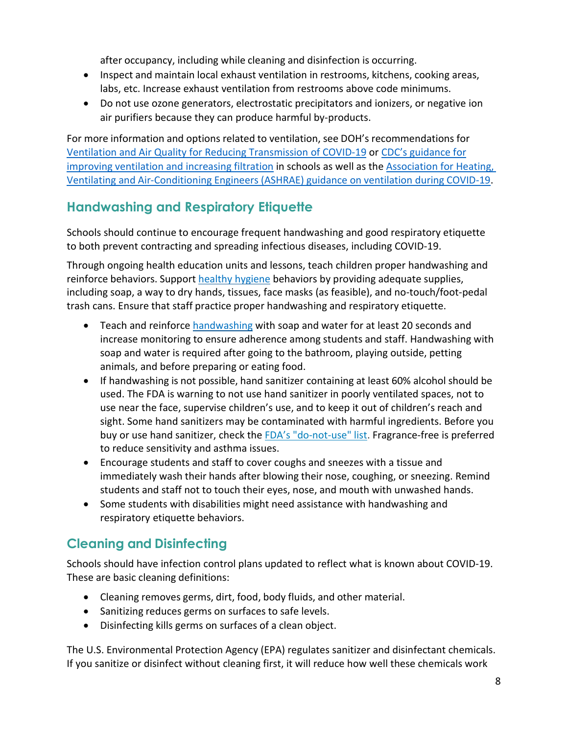after occupancy, including while cleaning and disinfection is occurring.

- Inspect and maintain local exhaust ventilation in restrooms, kitchens, cooking areas, labs, etc. Increase exhaust ventilation from restrooms above code minimums.
- Do not use ozone generators, electrostatic precipitators and ionizers, or negative ion air purifiers because they can produce harmful by-products.

For more information and options related to ventilation, see DOH's recommendations for [Ventilation and Air Quality for Reducing Transmission of COVID-19](https://www.doh.wa.gov/Portals/1/Documents/1600/coronavirus/VentilationGuidance.pdf) or [CDC's guidance for](https://www.cdc.gov/coronavirus/2019-ncov/community/ventilation.html) [improving ventilation and increasing filtration](https://www.cdc.gov/coronavirus/2019-ncov/community/schools-childcare/schools.html) in schools as well as the [Association for](https://www.ashrae.org/technical-resources/resources) Heating, Ventilating and [Air-Conditioning](https://www.ashrae.org/technical-resources/resources) Engineers (ASHRAE) guidance on ventilation during COVID-19.

# <span id="page-7-0"></span>**Handwashing and Respiratory Etiquette**

Schools should continue to encourage frequent handwashing and good respiratory etiquette to both prevent contracting and spreading infectious diseases, including COVID-19.

Through ongoing health education units and lessons, teach children proper handwashing and reinforce behaviors. Support [healthy hygiene](https://www.cdc.gov/handwashing/when-how-handwashing.html) behaviors by providing adequate supplies, including soap, a way to dry hands, tissues, face masks (as feasible), and no-touch/foot-pedal trash cans. Ensure that staff practice proper handwashing and respiratory etiquette.

- Teach and reinforce [handwashing](https://www.cdc.gov/handwashing/when-how-handwashing.html) with soap and water for at least 20 seconds and increase monitoring to ensure adherence among students and staff. Handwashing with soap and water is required after going to the bathroom, playing outside, petting animals, and before preparing or eating food.
- If handwashing is not possible, hand sanitizer containing at least 60% alcohol should be used. The FDA is warning to not use hand sanitizer in poorly ventilated spaces, not to use near the face, supervise children's use, and to keep it out of children's reach and sight. Some hand sanitizers may be contaminated with harmful ingredients. Before you buy or use hand sanitizer, check the [FDA's "do-not-use" list.](https://www.fda.gov/drugs/drug-safety-and-availability/fda-updates-hand-sanitizers-consumers-should-not-use#products) Fragrance-free is preferred to reduce sensitivity and asthma issues.
- Encourage students and staff to cover coughs and sneezes with a tissue and immediately wash their hands after blowing their nose, coughing, or sneezing. Remind students and staff not to touch their eyes, nose, and mouth with unwashed hands.
- Some students with disabilities might need assistance with handwashing and respiratory etiquette behaviors.

# **Cleaning and Disinfecting**

Schools should have infection control plans updated to reflect what is known about COVID-19. These are basic cleaning definitions:

- Cleaning removes germs, dirt, food, body fluids, and other material.
- Sanitizing reduces germs on surfaces to safe levels.
- Disinfecting kills germs on surfaces of a clean object.

The U.S. Environmental Protection Agency (EPA) regulates sanitizer and disinfectant chemicals. If you sanitize or disinfect without cleaning first, it will reduce how well these chemicals work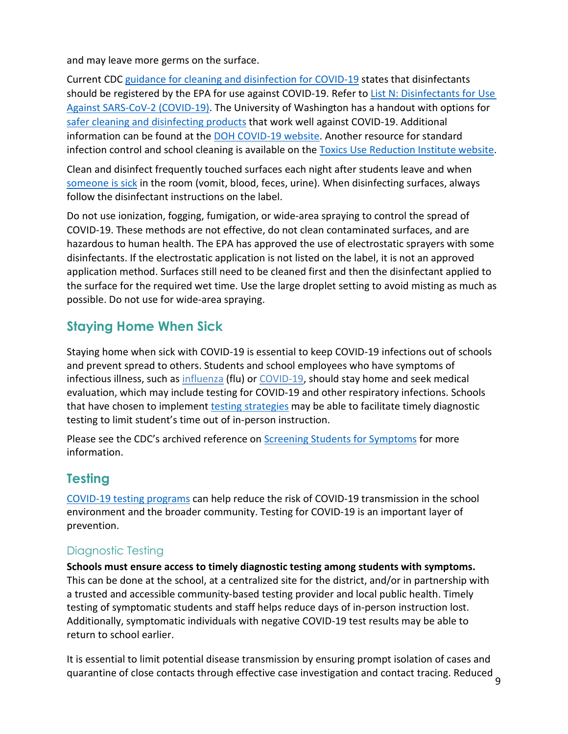and may leave more germs on the surface.

Current CDC [guidance for cleaning and disinfection for COVID-19](https://www.cdc.gov/coronavirus/2019-ncov/community/disinfecting-building-facility.html) states that disinfectants should be registered by the EPA for use against COVID-19. Refer to List N: Disinfectants for Use [Against SARS-CoV-2 \(COVID-19\).](https://www.epa.gov/pesticide-registration/list-n-disinfectants-use-against-sars-cov-2-covid-19) The University of Washington has a handout with options for [safer cleaning and disinfecting products](https://osha.washington.edu/sites/default/files/documents/FactSheet_Cleaning_Final_UWDEOHS_0.pdf) that work well against COVID-19. Additional information can be found at the [DOH COVID-19 website.](https://www.doh.wa.gov/Portals/1/Documents/1600/coronavirus/CleaningandDisinfectingGuidanceforPublicSpaces.pdf) Another resource for standard infection control and school cleaning is available on the [Toxics Use Reduction](https://www.turi.org/Our_Work/Cleaning_Laboratory/COVID-19_Safely_Clean_Disinfect/Safer_Cleaning_and_Disinfection_for_Schools) Institute website.

Clean and disinfect frequently touched surfaces each night after students leave and when someone is sick in the room (vomit, blood, feces, urine). When disinfecting surfaces, always follow the disinfectant instructions on the label.

Do not use ionization, fogging, fumigation, or wide-area spraying to control the spread of COVID-19. These methods are not effective, do not clean contaminated surfaces, and are hazardous to human health. The EPA has approved the use of electrostatic sprayers with some disinfectants. If the electrostatic application is not listed on the label, it is not an approved application method. Surfaces still need to be cleaned first and then the disinfectant applied to the surface for the required wet time. Use the large droplet setting to avoid misting as much as possible. Do not use for wide-area spraying.

# <span id="page-8-0"></span>**Staying Home When Sick**

Staying home when sick with COVID-19 is essential to keep COVID-19 infections out of schools and prevent spread to others. Students and school employees who have symptoms of infectious illness, such as [influenza](https://www.cdc.gov/flu/symptoms/flu-vs-covid19.htm) (flu) o[r COVID-19,](https://www.cdc.gov/coronavirus/2019-ncov/symptoms-testing/symptoms.html) should stay home and seek medical evaluation, which may include testing for COVID-19 and other respiratory infections. Schools that have chosen to implement [testing strategies](#page-8-1) may be able to facilitate timely diagnostic testing to limit student's time out of in-person instruction.

Please see the CDC's archived reference on [Screening Students for Symptoms](https://www.cdc.gov/coronavirus/2019-ncov/community/schools-childcare/symptom-screening.html) for more information.

# <span id="page-8-1"></span>**Testing**

[COVID-19 testing programs](https://www.doh.wa.gov/Portals/1/Documents/1600/coronavirus/820-113-K12SchoolTesting.pdf) can help reduce the risk of COVID-19 transmission in the school environment and the broader community. Testing for COVID-19 is an important layer of prevention.

# Diagnostic Testing

**Schools must ensure access to timely diagnostic testing among students with symptoms.**  This can be done at the school, at a centralized site for the district, and/or in partnership with a trusted and accessible community-based testing provider and local public health. Timely testing of symptomatic students and staff helps reduce days of in-person instruction lost. Additionally, symptomatic individuals with negative COVID-19 test results may be able to return to school earlier.

It is essential to limit potential disease transmission by ensuring prompt isolation of cases and quarantine of close contacts through effective case investigation and contact tracing. Reduced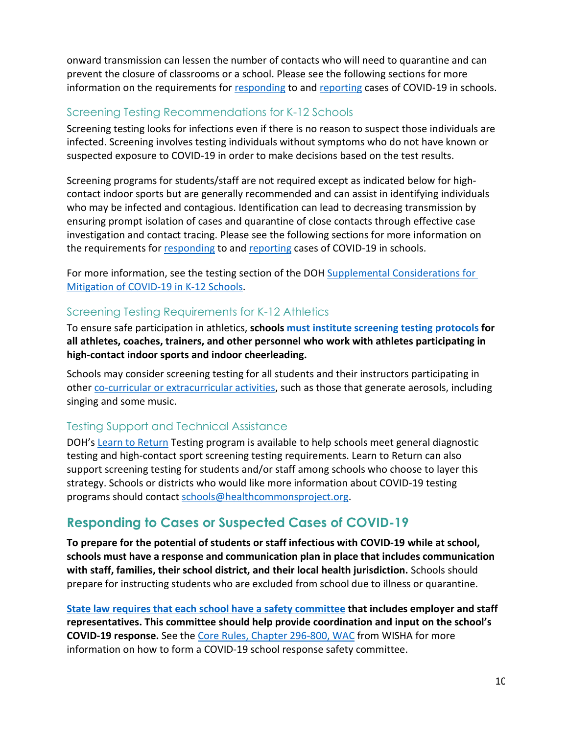onward transmission can lessen the number of contacts who will need to quarantine and can prevent the closure of classrooms or a school. Please see the following sections for more information on the requirements for [responding](#page-9-0) to and [reporting](#page-13-0) cases of COVID-19 in schools.

#### Screening Testing Recommendations for K-12 Schools

Screening testing looks for infections even if there is no reason to suspect those individuals are infected. Screening involves testing individuals without symptoms who do not have known or suspected exposure to COVID-19 in order to make decisions based on the test results.

Screening programs for students/staff are not required except as indicated below for highcontact indoor sports but are generally recommended and can assist in identifying individuals who may be infected and contagious. Identification can lead to decreasing transmission by ensuring prompt isolation of cases and quarantine of close contacts through effective case investigation and contact tracing. Please see the following sections for more information on the requirements for [responding](#page-9-0) to and [reporting](#page-13-0) cases of COVID-19 in schools.

For more information, see the testing section of the DOH Supplemental Considerations for [Mitigation of COVID-19 in K-12 Schools.](https://www.doh.wa.gov/Portals/1/Documents/1600/coronavirus/820-218-K12SupplementalRecommendations.pdf)

## Screening Testing Requirements for K-12 Athletics

To ensure safe participation in athletics, **schools [must institute screening testing](#page-21-0) protocols for all athletes, coaches, trainers, and other personnel who work with athletes participating in high-contact indoor sports and indoor cheerleading.**

Schools may consider screening testing for all students and their instructors participating in other [co-curricular or extracurricular activities,](#page-18-0) such as those that generate aerosols, including singing and some music.

## Testing Support and Technical Assistance

DOH's [Learn to Return](https://learntoreturn.org/) Testing program is available to help schools meet general diagnostic testing and high-contact sport screening testing requirements. Learn to Return can also support screening testing for students and/or staff among schools who choose to layer this strategy. Schools or districts who would like more information about COVID-19 testing programs should contact [schools@healthcommonsproject.org.](mailto:schools@healthcommonsproject.org)

# <span id="page-9-0"></span>**Responding to Cases or Suspected Cases of COVID-19**

**To prepare for the potential of students or staff infectious with COVID-19 while at school, schools must have a response and communication plan in place that includes communication with staff, families, their school district, and their local health jurisdiction.** Schools should prepare for instructing students who are excluded from school due to illness or quarantine.

**[State law requires that each school have a safety committee](https://apps.leg.wa.gov/wac/default.aspx?cite=296-800-13020) that includes employer and staff representatives. This committee should help provide coordination and input on the school's COVID-19 response.** See the [Core Rules, Chapter 296-800, WAC](https://lni.wa.gov/safety-health/safety-rules/chapter-pdfs/WAC296-800.pdf#WAC_296_800_130) from WISHA for more information on how to form a COVID-19 school response safety committee.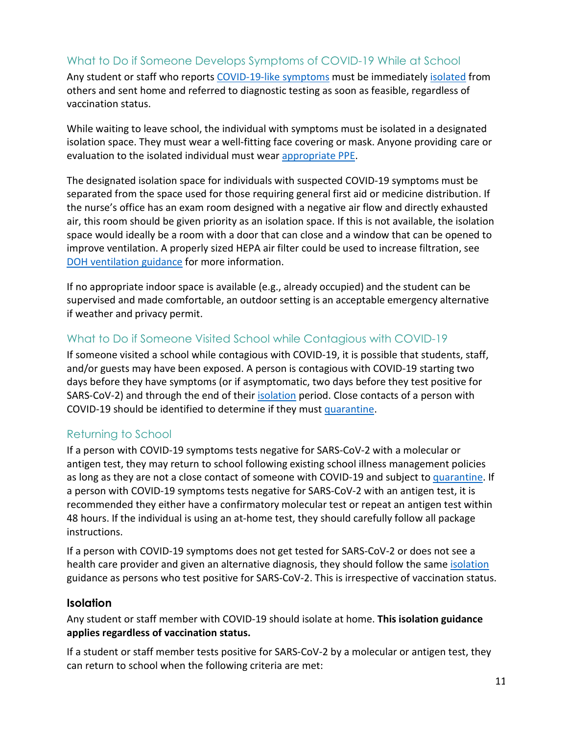#### <span id="page-10-2"></span>What to Do if Someone Develops Symptoms of COVID-19 While at School

Any student or staff who reports [COVID-19-like symptoms](https://www.cdc.gov/coronavirus/2019-ncov/symptoms-testing/symptoms.html) must be immediately [isolated](https://www.doh.wa.gov/Emergencies/COVID19/CaseInvestigationsandContactTracing/IsolationandQuarantineforCOVID19) from others and sent home and referred to diagnostic testing as soon as feasible, regardless of vaccination status.

While waiting to leave school, the individual with symptoms must be isolated in a designated isolation space. They must wear a well-fitting face covering or mask. Anyone providing care or evaluation to the isolated individual must wear [appropriate PPE.](https://www.cdc.gov/coronavirus/2019-ncov/hcp/infection-control-recommendations.html)

The designated isolation space for individuals with suspected COVID-19 symptoms must be separated from the space used for those requiring general first aid or medicine distribution. If the nurse's office has an exam room designed with a negative air flow and directly exhausted air, this room should be given priority as an isolation space. If this is not available, the isolation space would ideally be a room with a door that can close and a window that can be opened to improve ventilation. A properly sized HEPA air filter could be used to increase filtration, see [DOH ventilation guidance](https://www.doh.wa.gov/Portals/1/Documents/1600/coronavirus/VentilationGuidance.pdf) for more information.

If no appropriate indoor space is available (e.g., already occupied) and the student can be supervised and made comfortable, an outdoor setting is an acceptable emergency alternative if weather and privacy permit.

#### What to Do if Someone Visited School while Contagious with COVID-19

If someone visited a school while contagious with COVID-19, it is possible that students, staff, and/or guests may have been exposed. A person is contagious with COVID-19 starting two days before they have symptoms (or if asymptomatic, two days before they test positive for SARS-CoV-2) and through the end of thei[r isolation](#page-10-0) period. Close contacts of a person with COVID-19 should be identified to determine if they mus[t quarantine.](#page-12-0)

#### Returning to School

<span id="page-10-0"></span>If a person with COVID-19 symptoms tests negative for SARS-CoV-2 with a molecular or antigen test, they may return to school following existing school illness management policies as long as they are not a close contact of someone with COVID-19 and subject to [quarantine.](#page-12-0) If a person with COVID-19 symptoms tests negative for SARS-CoV-2 with an antigen test, it is recommended they either have a confirmatory molecular test or repeat an antigen test within 48 hours. If the individual is using an at-home test, they should carefully follow all package instructions.

If a person with COVID-19 symptoms does not get tested for SARS-CoV-2 or does not see a health care provider and given an alternative diagnosis, they should follow the same [isolation](#page-10-1) guidance as persons who test positive for SARS-CoV-2. This is irrespective of vaccination status.

#### <span id="page-10-1"></span>**Isolation**

Any student or staff member with COVID-19 should isolate at home. **This isolation guidance applies regardless of vaccination status.** 

If a student or staff member tests positive for SARS-CoV-2 by a molecular or antigen test, they can return to school when the following criteria are met: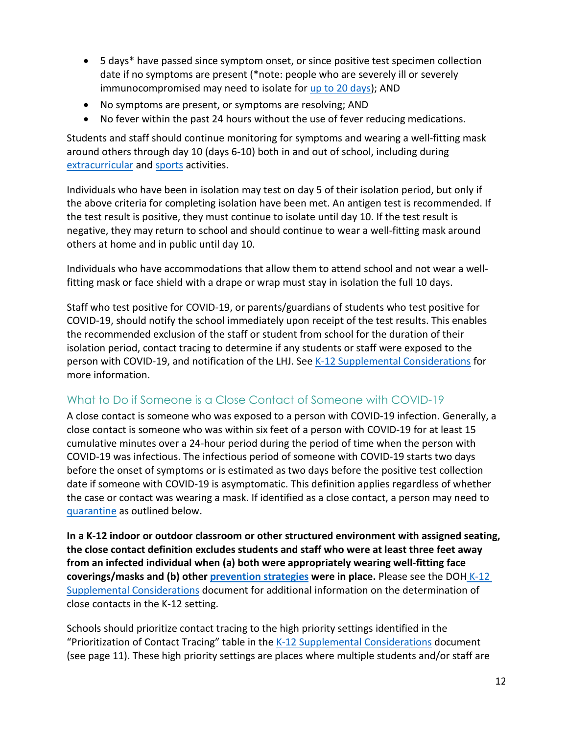- 5 days\* have passed since symptom onset, or since positive test specimen collection date if no symptoms are present (\*note: people who are severely ill or severely immunocompromised may need to isolate for [up to 20 days\)](https://www.cdc.gov/coronavirus/2019-ncov/hcp/disposition-hospitalized-patients.html); AND
- No symptoms are present, or symptoms are resolving; AND
- No fever within the past 24 hours without the use of fever reducing medications.

Students and staff should continue monitoring for symptoms and wearing a well-fitting mask around others through day 10 (days 6-10) both in and out of school, including during [extracurricular](#page-17-1) and [sports](#page-19-1) activities.

Individuals who have been in isolation may test on day 5 of their isolation period, but only if the above criteria for completing isolation have been met. An antigen test is recommended. If the test result is positive, they must continue to isolate until day 10. If the test result is negative, they may return to school and should continue to wear a well-fitting mask around others at home and in public until day 10.

Individuals who have accommodations that allow them to attend school and not wear a wellfitting mask or face shield with a drape or wrap must stay in isolation the full 10 days.

Staff who test positive for COVID-19, or parents/guardians of students who test positive for COVID-19, should notify the school immediately upon receipt of the test results. This enables the recommended exclusion of the staff or student from school for the duration of their isolation period, contact tracing to determine if any students or staff were exposed to the person with COVID-19, and notification of the LHJ. See [K-12 Supplemental Considerations](https://www.doh.wa.gov/Portals/1/Documents/1600/coronavirus/820-218-K12SupplementalRecommendations.pdf) for more information.

# <span id="page-11-0"></span>What to Do if Someone is a Close Contact of Someone with COVID-19

A close contact is someone who was exposed to a person with COVID-19 infection. Generally, a close contact is someone who was within six feet of a person with COVID-19 for at least 15 cumulative minutes over a 24-hour period during the period of time when the person with COVID-19 was infectious. The infectious period of someone with COVID-19 starts two days before the onset of symptoms or is estimated as two days before the positive test collection date if someone with COVID-19 is asymptomatic. This definition applies regardless of whether the case or contact was wearing a mask. If identified as a close contact, a person may need to [quarantine](#page-12-0) as outlined below.

**In a K-12 indoor or outdoor classroom or other structured environment with assigned seating, the close contact definition excludes students and staff who were at least three feet away from an infected individual when (a) both were appropriately wearing well-fitting face coverings/masks and (b) other [prevention strategies](#page-2-1) were in place.** Please see the DOH [K-12](https://www.doh.wa.gov/Portals/1/Documents/1600/coronavirus/820-218-K12SupplementalRecommendations.pdf)  [Supplemental Considerations](https://www.doh.wa.gov/Portals/1/Documents/1600/coronavirus/820-218-K12SupplementalRecommendations.pdf) document for additional information on the determination of close contacts in the K-12 setting.

Schools should prioritize contact tracing to the high priority settings identified in the "Prioritization of Contact Tracing" table in th[e K-12 Supplemental Considerations](https://www.doh.wa.gov/Portals/1/Documents/1600/coronavirus/820-218-K12SupplementalRecommendations.pdf) document (see page 11). These high priority settings are places where multiple students and/or staff are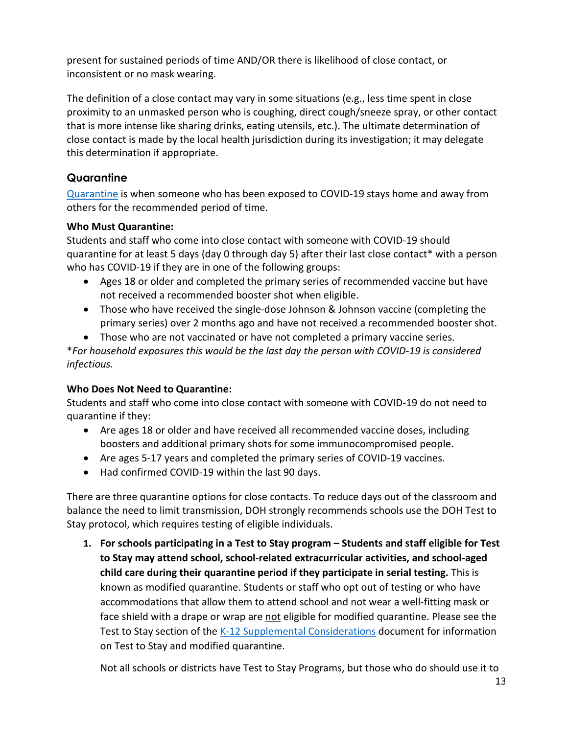present for sustained periods of time AND/OR there is likelihood of close contact, or inconsistent or no mask wearing.

The definition of a close contact may vary in some situations (e.g., less time spent in close proximity to an unmasked person who is coughing, direct cough/sneeze spray, or other contact that is more intense like sharing drinks, eating utensils, etc.). The ultimate determination of close contact is made by the local health jurisdiction during its investigation; it may delegate this determination if appropriate.

## <span id="page-12-0"></span>**Quarantine**

[Quarantine](https://www.doh.wa.gov/Emergencies/COVID19/CaseInvestigationsandContactTracing/IsolationandQuarantineforCOVID19) is when someone who has been exposed to COVID-19 stays home and away from others for the recommended period of time.

#### **Who Must Quarantine:**

Students and staff who come into close contact with someone with COVID-19 should quarantine for at least 5 days (day 0 through day 5) after their last close contact\* with a person who has COVID-19 if they are in one of the following groups:

- Ages 18 or older and completed the primary series of recommended vaccine but have not received a recommended booster shot when eligible.
- Those who have received the single-dose Johnson & Johnson vaccine (completing the primary series) over 2 months ago and have not received a recommended booster shot.
- Those who are not vaccinated or have not completed a primary vaccine series.

\**For household exposures this would be the last day the person with COVID-19 is considered infectious.*

#### **Who Does Not Need to Quarantine:**

Students and staff who come into close contact with someone with COVID-19 do not need to quarantine if they:

- Are ages 18 or older and have received all recommended vaccine doses, including boosters and additional primary shots for some immunocompromised people.
- Are ages 5-17 years and completed the primary series of COVID-19 vaccines.
- Had confirmed COVID-19 within the last 90 days.

There are three quarantine options for close contacts. To reduce days out of the classroom and balance the need to limit transmission, DOH strongly recommends schools use the DOH Test to Stay protocol, which requires testing of eligible individuals.

**1. For schools participating in a Test to Stay program – Students and staff eligible for Test to Stay may attend school, school-related extracurricular activities, and school-aged child care during their quarantine period if they participate in serial testing.** This is known as modified quarantine. Students or staff who opt out of testing or who have accommodations that allow them to attend school and not wear a well-fitting mask or face shield with a drape or wrap are not eligible for modified quarantine. Please see the Test to Stay section of the [K-12 Supplemental Considerations](https://www.doh.wa.gov/Portals/1/Documents/1600/coronavirus/820-218-K12SupplementalRecommendations.pdf) document for information on Test to Stay and modified quarantine.

Not all schools or districts have Test to Stay Programs, but those who do should use it to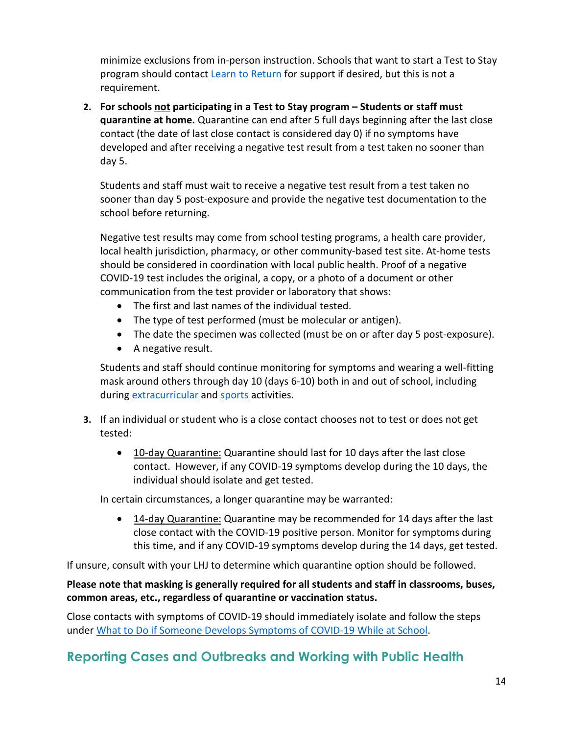minimize exclusions from in-person instruction. Schools that want to start a Test to Stay program should contact [Learn to Return](https://learntoreturn.org/) for support if desired, but this is not a requirement.

**2. For schools not participating in a Test to Stay program – Students or staff must quarantine at home.** Quarantine can end after 5 full days beginning after the last close contact (the date of last close contact is considered day 0) if no symptoms have developed and after receiving a negative test result from a test taken no sooner than day 5.

Students and staff must wait to receive a negative test result from a test taken no sooner than day 5 post-exposure and provide the negative test documentation to the school before returning.

Negative test results may come from school testing programs, a health care provider, local health jurisdiction, pharmacy, or other community-based test site. At-home tests should be considered in coordination with local public health. Proof of a negative COVID-19 test includes the original, a copy, or a photo of a document or other communication from the test provider or laboratory that shows:

- The first and last names of the individual tested.
- The type of test performed (must be molecular or antigen).
- The date the specimen was collected (must be on or after day 5 post-exposure).
- A negative result.

Students and staff should continue monitoring for symptoms and wearing a well-fitting mask around others through day 10 (days 6-10) both in and out of school, including during [extracurricular](#page-17-1) an[d sports](#page-19-1) activities.

- **3.** If an individual or student who is a close contact chooses not to test or does not get tested:
	- 10-day Quarantine: Quarantine should last for 10 days after the last close contact. However, if any COVID-19 symptoms develop during the 10 days, the individual should isolate and get tested.

In certain circumstances, a longer quarantine may be warranted:

• 14-day Quarantine: Quarantine may be recommended for 14 days after the last close contact with the COVID-19 positive person. Monitor for symptoms during this time, and if any COVID-19 symptoms develop during the 14 days, get tested.

If unsure, consult with your LHJ to determine which quarantine option should be followed.

#### **Please note that masking is generally required for all students and staff in classrooms, buses, common areas, etc., regardless of quarantine or vaccination status.**

Close contacts with symptoms of COVID-19 should immediately isolate and follow the steps under [What to Do if Someone Develops Symptoms of COVID-19 While at School.](#page-10-2)

# <span id="page-13-0"></span>**Reporting Cases and Outbreaks and Working with Public Health**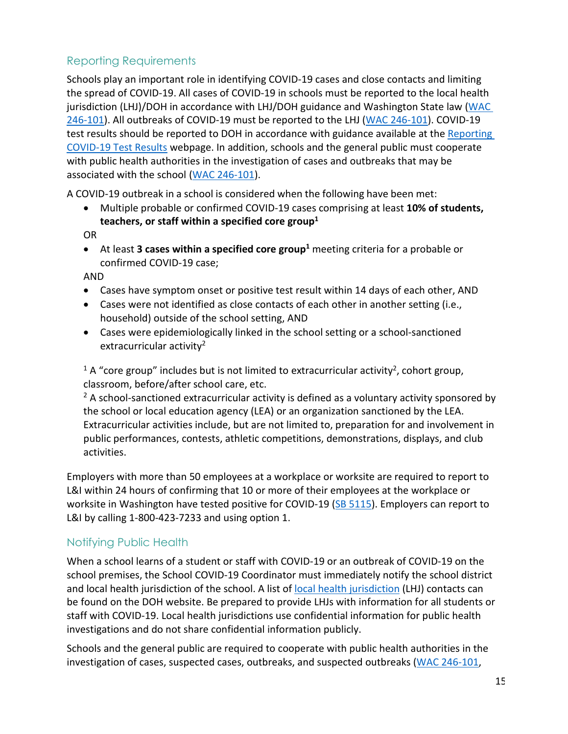# Reporting Requirements

Schools play an important role in identifying COVID-19 cases and close contacts and limiting the spread of COVID-19. All cases of COVID-19 in schools must be reported to the local health jurisdiction (LHJ)/DOH in accordance with LHJ/DOH guidance and Washington State law (WAC [246-101\)](https://app.leg.wa.gov/wac/default.aspx?cite=246-101). All outbreaks of COVID-19 must be reported to the LHJ [\(WAC 246-101\)](https://app.leg.wa.gov/wac/default.aspx?cite=246-101). COVID-19 test results should be reported to DOH in accordance with guidance available at th[e Reporting](https://www.doh.wa.gov/Emergencies/COVID19/HealthcareProviders/ReportingTestResults/ReportingCOVID19TestResultsforPointofCareTestingFacilities)  [COVID-19 Test Results](https://www.doh.wa.gov/Emergencies/COVID19/HealthcareProviders/ReportingTestResults/ReportingCOVID19TestResultsforPointofCareTestingFacilities) webpage. In addition, schools and the general public must cooperate with public health authorities in the investigation of cases and outbreaks that may be associated with the school [\(WAC 246-101\)](https://app.leg.wa.gov/wac/default.aspx?cite=246-101).

A COVID-19 outbreak in a school is considered when the following have been met:

• Multiple probable or confirmed COVID-19 cases comprising at least **10% of students, teachers, or staff within a specified core group1**

OR

• At least **3 cases within a specified core group**<sup>1</sup> meeting criteria for a probable or confirmed COVID-19 case;

AND

- Cases have symptom onset or positive test result within 14 days of each other, AND
- Cases were not identified as close contacts of each other in another setting (i.e., household) outside of the school setting, AND
- Cases were epidemiologically linked in the school setting or a school-sanctioned extracurricular activity<sup>2</sup>

<sup>1</sup> A "core group" includes but is not limited to extracurricular activity<sup>2</sup>, cohort group, classroom, before/after school care, etc.

 $2$  A school-sanctioned extracurricular activity is defined as a voluntary activity sponsored by the school or local education agency (LEA) or an organization sanctioned by the LEA. Extracurricular activities include, but are not limited to, preparation for and involvement in public performances, contests, athletic competitions, demonstrations, displays, and club activities.

Employers with more than 50 employees at a workplace or worksite are required to report to L&I within 24 hours of confirming that 10 or more of their employees at the workplace or worksite in Washington have tested positive for COVID-19 [\(SB 5115\)](https://app.leg.wa.gov/billsummary?billnumber=5115&year=2021). Employers can report to L&I by calling 1-800-423-7233 and using option 1.

## Notifying Public Health

When a school learns of a student or staff with COVID-19 or an outbreak of COVID-19 on the school premises, the School COVID-19 Coordinator must immediately notify the school district and local health jurisdiction of the school. A list of [local health jurisdiction](https://www.doh.wa.gov/AboutUs/PublicHealthSystem/LocalHealthJurisdictions) (LHJ) contacts can be found on the DOH website. Be prepared to provide LHJs with information for all students or staff with COVID-19. Local health jurisdictions use confidential information for public health investigations and do not share confidential information publicly.

Schools and the general public are required to cooperate with public health authorities in the investigation of cases, suspected cases, outbreaks, and suspected outbreaks [\(WAC 246-101,](https://apps.leg.wa.gov/WAC/default.aspx?cite=246-101)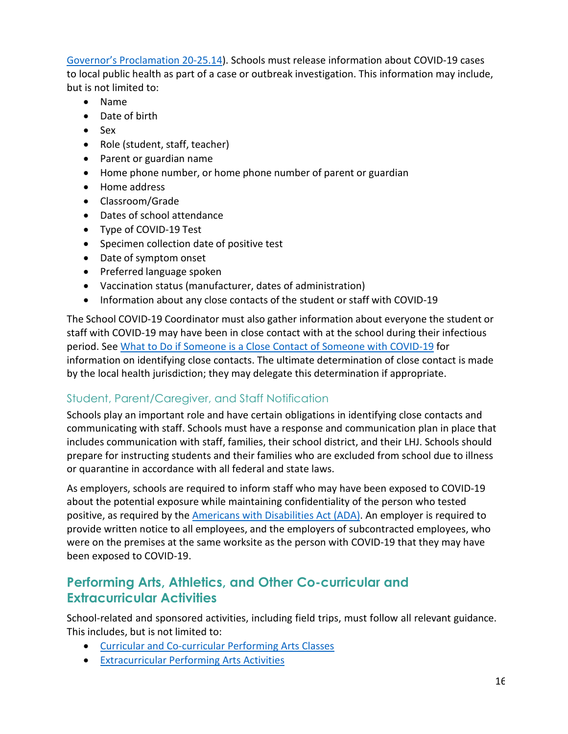[Governor's Proclamation 20-25.14\)](https://www.governor.wa.gov/sites/default/files/proclamations/proc_20-25.14.pdf). Schools must release information about COVID-19 cases to local public health as part of a case or outbreak investigation. This information may include, but is not limited to:

- Name
- Date of birth
- Sex
- Role (student, staff, teacher)
- Parent or guardian name
- Home phone number, or home phone number of parent or guardian
- Home address
- Classroom/Grade
- Dates of school attendance
- Type of COVID-19 Test
- Specimen collection date of positive test
- Date of symptom onset
- Preferred language spoken
- Vaccination status (manufacturer, dates of administration)
- Information about any close contacts of the student or staff with COVID-19

The School COVID-19 Coordinator must also gather information about everyone the student or staff with COVID-19 may have been in close contact with at the school during their infectious period. See [What to Do if Someone is a Close Contact of Someone with COVID-19](#page-11-0) for information on identifying close contacts. The ultimate determination of close contact is made by the local health jurisdiction; they may delegate this determination if appropriate.

## Student, Parent/Caregiver, and Staff Notification

Schools play an important role and have certain obligations in identifying close contacts and communicating with staff. Schools must have a response and communication plan in place that includes communication with staff, families, their school district, and their LHJ. Schools should prepare for instructing students and their families who are excluded from school due to illness or quarantine in accordance with all federal and state laws.

As employers, schools are required to inform staff who may have been exposed to COVID-19 about the potential exposure while maintaining confidentiality of the person who tested positive, as required by the [Americans with Disabilities Act \(ADA\).](https://www.eeoc.gov/laws/guidance/pandemic-preparedness-workplace-and-americans-disabilities-act) An employer is required to provide written notice to all employees, and the employers of subcontracted employees, who were on the premises at the same worksite as the person with COVID-19 that they may have been exposed to COVID-19.

# <span id="page-15-0"></span>**Performing Arts, Athletics, and Other Co-curricular and Extracurricular Activities**

School-related and sponsored activities, including field trips, must follow all relevant guidance. This includes, but is not limited to:

- [Curricular and Co-curricular Performing Arts Classes](#page-16-0)
- [Extracurricular Performing Arts Activities](#page-17-0)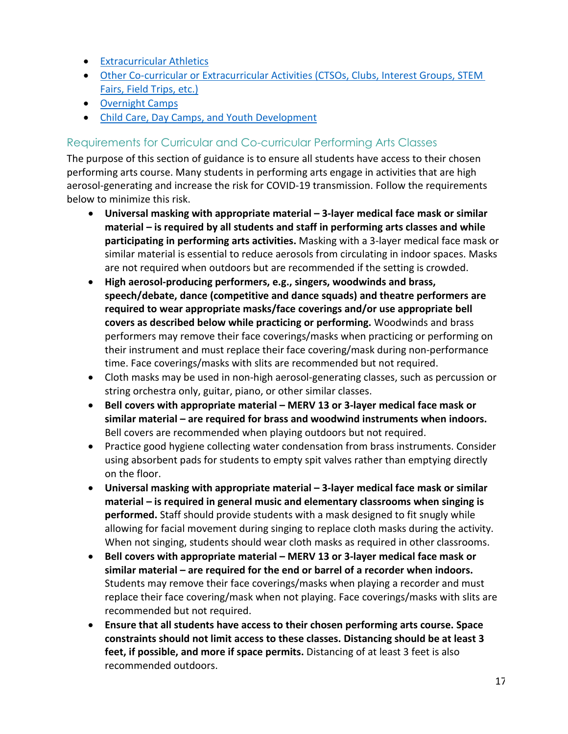- [Extracurricular Athletics](#page-19-0)
- [Other Co-curricular or Extracurricular Activities \(CTSOs, Clubs, Interest Groups, STEM](#page-22-0)  [Fairs, Field Trips, etc.\)](#page-22-0)
- [Overnight](https://www.governor.wa.gov/sites/default/files/COVID19%20Overnight%20Group%20Summer%20Camps.pdf) Camps
- [Child Care, Day Camps, and Youth Development](https://www.doh.wa.gov/Portals/1/Documents/1600/coronavirus/DOH-OSPI-DYCF-SchoolsChildCareGuidance.pdf)

#### <span id="page-16-0"></span>Requirements for Curricular and Co-curricular Performing Arts Classes

The purpose of this section of guidance is to ensure all students have access to their chosen performing arts course. Many students in performing arts engage in activities that are high aerosol-generating and increase the risk for COVID-19 transmission. Follow the requirements below to minimize this risk.

- **Universal masking with appropriate material – 3-layer medical face mask or similar material – is required by all students and staff in performing arts classes and while participating in performing arts activities.** Masking with a 3-layer medical face mask or similar material is essential to reduce aerosols from circulating in indoor spaces. Masks are not required when outdoors but are recommended if the setting is crowded.
- **High aerosol-producing performers, e.g., singers, woodwinds and brass, speech/debate, dance (competitive and dance squads) and theatre performers are required to wear appropriate masks/face coverings and/or use appropriate bell covers as described below while practicing or performing.** Woodwinds and brass performers may remove their face coverings/masks when practicing or performing on their instrument and must replace their face covering/mask during non-performance time. Face coverings/masks with slits are recommended but not required.
- Cloth masks may be used in non-high aerosol-generating classes, such as percussion or string orchestra only, guitar, piano, or other similar classes.
- **Bell covers with appropriate material – MERV 13 or 3-layer medical face mask or similar material – are required for brass and woodwind instruments when indoors.**  Bell covers are recommended when playing outdoors but not required.
- Practice good hygiene collecting water condensation from brass instruments. Consider using absorbent pads for students to empty spit valves rather than emptying directly on the floor.
- **Universal masking with appropriate material – 3-layer medical face mask or similar material – is required in general music and elementary classrooms when singing is performed.** Staff should provide students with a mask designed to fit snugly while allowing for facial movement during singing to replace cloth masks during the activity. When not singing, students should wear cloth masks as required in other classrooms.
- **Bell covers with appropriate material – MERV 13 or 3-layer medical face mask or similar material – are required for the end or barrel of a recorder when indoors.**  Students may remove their face coverings/masks when playing a recorder and must replace their face covering/mask when not playing. Face coverings/masks with slits are recommended but not required.
- **Ensure that all students have access to their chosen performing arts course. Space constraints should not limit access to these classes. Distancing should be at least 3 feet, if possible, and more if space permits.** Distancing of at least 3 feet is also recommended outdoors.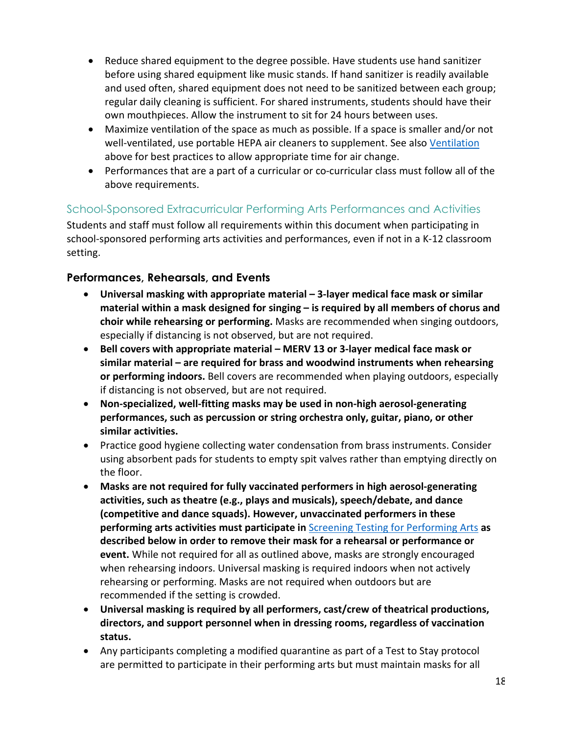- Reduce shared equipment to the degree possible. Have students use hand sanitizer before using shared equipment like music stands. If hand sanitizer is readily available and used often, shared equipment does not need to be sanitized between each group; regular daily cleaning is sufficient. For shared instruments, students should have their own mouthpieces. Allow the instrument to sit for 24 hours between uses.
- Maximize ventilation of the space as much as possible. If a space is smaller and/or not well-ventilated, use portable HEPA air cleaners to supplement. See also [Ventilation](#page-6-0) above for best practices to allow appropriate time for air change.
- Performances that are a part of a curricular or co-curricular class must follow all of the above requirements.

#### <span id="page-17-0"></span>School-Sponsored Extracurricular Performing Arts Performances and Activities

Students and staff must follow all requirements within this document when participating in school-sponsored performing arts activities and performances, even if not in a K-12 classroom setting.

#### <span id="page-17-1"></span>**Performances, Rehearsals, and Events**

- **Universal masking with appropriate material – 3-layer medical face mask or similar material within a mask designed for singing – is required by all members of chorus and choir while rehearsing or performing.** Masks are recommended when singing outdoors, especially if distancing is not observed, but are not required.
- **Bell covers with appropriate material – MERV 13 or 3-layer medical face mask or similar material – are required for brass and woodwind instruments when rehearsing or performing indoors.** Bell covers are recommended when playing outdoors, especially if distancing is not observed, but are not required.
- **Non-specialized, well-fitting masks may be used in non-high aerosol-generating performances, such as percussion or string orchestra only, guitar, piano, or other similar activities.**
- Practice good hygiene collecting water condensation from brass instruments. Consider using absorbent pads for students to empty spit valves rather than emptying directly on the floor.
- **Masks are not required for fully vaccinated performers in high aerosol-generating activities, such as theatre (e.g., plays and musicals), speech/debate, and dance (competitive and dance squads). However, unvaccinated performers in these performing arts activities must participate in** [Screening Testing for Performing Arts](#page-18-0) **as described below in order to remove their mask for a rehearsal or performance or event.** While not required for all as outlined above, masks are strongly encouraged when rehearsing indoors. Universal masking is required indoors when not actively rehearsing or performing. Masks are not required when outdoors but are recommended if the setting is crowded.
- **Universal masking is required by all performers, cast/crew of theatrical productions, directors, and support personnel when in dressing rooms, regardless of vaccination status.**
- Any participants completing a modified quarantine as part of a Test to Stay protocol are permitted to participate in their performing arts but must maintain masks for all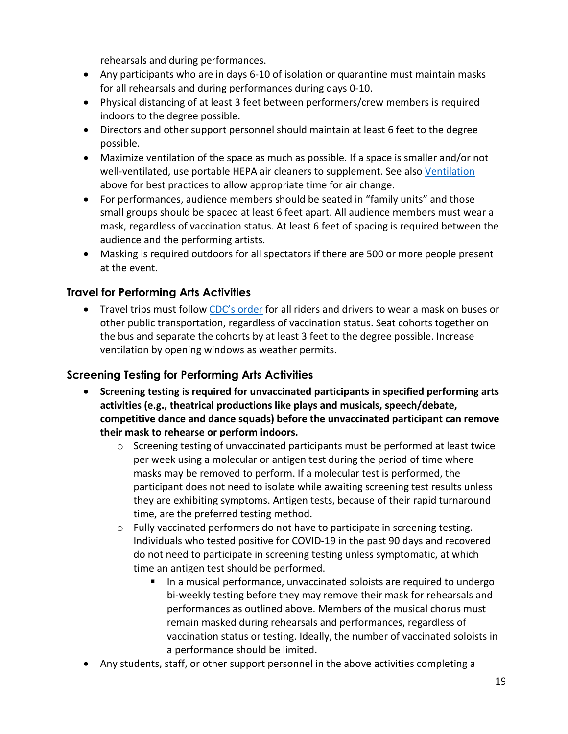rehearsals and during performances.

- Any participants who are in days 6-10 of isolation or quarantine must maintain masks for all rehearsals and during performances during days 0-10.
- Physical distancing of at least 3 feet between performers/crew members is required indoors to the degree possible.
- Directors and other support personnel should maintain at least 6 feet to the degree possible.
- Maximize ventilation of the space as much as possible. If a space is smaller and/or not well-ventilated, use portable HEPA air cleaners to supplement. See also [Ventilation](#page-6-0) above for best practices to allow appropriate time for air change.
- For performances, audience members should be seated in "family units" and those small groups should be spaced at least 6 feet apart. All audience members must wear a mask, regardless of vaccination status. At least 6 feet of spacing is required between the audience and the performing artists.
- Masking is required outdoors for all spectators if there are 500 or more people present at the event.

## **Travel for Performing Arts Activities**

• Travel trips must follo[w CDC's order](https://www.cdc.gov/coronavirus/2019-ncov/travelers/face-masks-public-transportation.html) for all riders and drivers to wear a mask on buses or other public transportation, regardless of vaccination status. Seat cohorts together on the bus and separate the cohorts by at least 3 feet to the degree possible. Increase ventilation by opening windows as weather permits.

#### <span id="page-18-0"></span>**Screening Testing for Performing Arts Activities**

- **Screening testing is required for unvaccinated participants in specified [performing arts](https://www.doh.wa.gov/Portals/1/Documents/1600/coronavirus/820-201-SportsFitnessGuidance.pdf)  activities [\(e.g., theatrical productions like plays and musicals, speech/debate,](https://www.doh.wa.gov/Portals/1/Documents/1600/coronavirus/820-201-SportsFitnessGuidance.pdf)  [competitive dance and dance squads\)](https://www.doh.wa.gov/Portals/1/Documents/1600/coronavirus/820-201-SportsFitnessGuidance.pdf) before the unvaccinated participant can remove [their mask to rehearse or perform indoors.](https://www.doh.wa.gov/Portals/1/Documents/1600/coronavirus/820-201-SportsFitnessGuidance.pdf)**
	- $\circ$  Screening testing of unvaccinated participants must be performed at least twice per week using a molecular or antigen test during the period of time where masks may be removed to perform. If a molecular test is performed, the participant does not need to isolate while awaiting screening test results unless they are exhibiting symptoms. Antigen tests, because of their rapid turnaround time, are the preferred testing method.
	- $\circ$  Fully vaccinated performers do not have to participate in screening testing. Individuals who tested positive for COVID-19 in the past 90 days and recovered do not need to participate in screening testing unless symptomatic, at which time an antigen test should be performed.
		- In a musical performance, unvaccinated soloists are required to undergo bi-weekly testing before they may remove their mask for rehearsals and performances as outlined above. Members of the musical chorus must remain masked during rehearsals and performances, regardless of vaccination status or testing. Ideally, the number of vaccinated soloists in a performance should be limited.
- Any students, staff, or other support personnel in the above activities completing a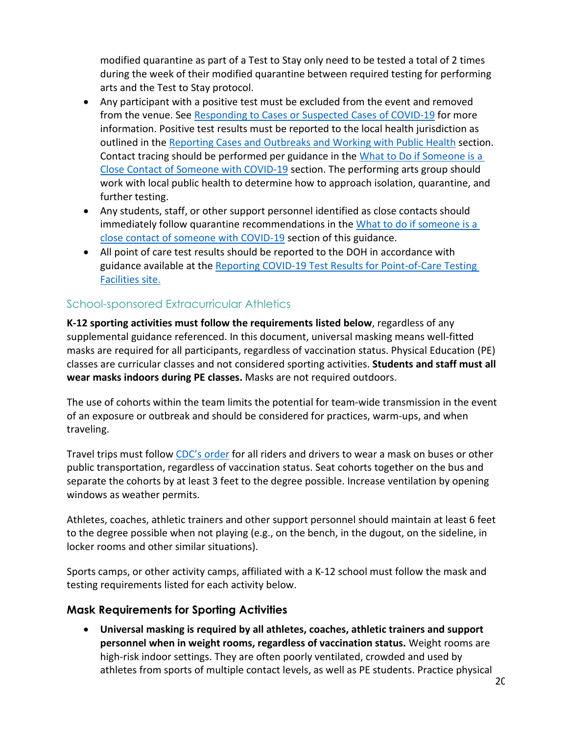modified quarantine as part of a Test to Stay only need to be tested a total of 2 times during the week of their modified quarantine between required testing for performing arts and the Test to Stay protocol.

- Any participant with a positive test must be excluded from the event and removed from the venue. See [Responding to Cases or Suspected Cases of COVID-19](#page-9-0) for more information. Positive test results must be reported to the local health jurisdiction as outlined in the [Reporting Cases and Outbreaks and Working with Public Health](#page-13-0) section. Contact tracing should be performed per guidance in the [What to Do if Someone is a](#page-11-0)  [Close Contact of Someone](#page-11-0) with COVID-19 section. The performing arts group should work with local public health to determine how to approach isolation, quarantine, and further testing.
- Any students, staff, or other support personnel identified as close contacts should immediately follow quarantine recommendations in th[e What to do if someone is a](#page-11-0)  [close contact of someone with COVID-19](#page-11-0) section of this guidance.
- All point of care test results should be reported to the DOH in accordance with guidance available at the [Reporting COVID-19 Test Results for Point-of-Care Testing](https://www.doh.wa.gov/Emergencies/COVID19/HealthcareProviders/ReportingTestResults/ReportingCOVID19TestResultsforPointofCareTestingFacilities)  [Facilities site.](https://www.doh.wa.gov/Emergencies/COVID19/HealthcareProviders/ReportingTestResults/ReportingCOVID19TestResultsforPointofCareTestingFacilities)

## <span id="page-19-0"></span>School-sponsored Extracurricular Athletics

**K-12 sporting activities must follow the requirements listed below**, regardless of any supplemental guidance referenced. In this document, universal masking means well-fitted masks are required for all participants, regardless of vaccination status. Physical Education (PE) classes are curricular classes and not considered sporting activities. **Students and staff must all wear masks indoors during PE classes.** Masks are not required outdoors.

The use of cohorts within the team limits the potential for team-wide transmission in the event of an exposure or outbreak and should be considered for practices, warm-ups, and when traveling.

Travel trips must follo[w CDC's order](https://www.cdc.gov/coronavirus/2019-ncov/travelers/face-masks-public-transportation.html) for all riders and drivers to wear a mask on buses or other public transportation, regardless of vaccination status. Seat cohorts together on the bus and separate the cohorts by at least 3 feet to the degree possible. Increase ventilation by opening windows as weather permits.

Athletes, coaches, athletic trainers and other support personnel should maintain at least 6 feet to the degree possible when not playing (e.g., on the bench, in the dugout, on the sideline, in locker rooms and other similar situations).

Sports camps, or other activity camps, affiliated with a K-12 school must follow the mask and testing requirements listed for each activity below.

#### <span id="page-19-1"></span>**Mask Requirements for Sporting Activities**

• **Universal masking is required by all athletes, coaches, athletic trainers and support personnel when in weight rooms, regardless of vaccination status.** Weight rooms are high-risk indoor settings. They are often poorly ventilated, crowded and used by athletes from sports of multiple contact levels, as well as PE students. Practice physical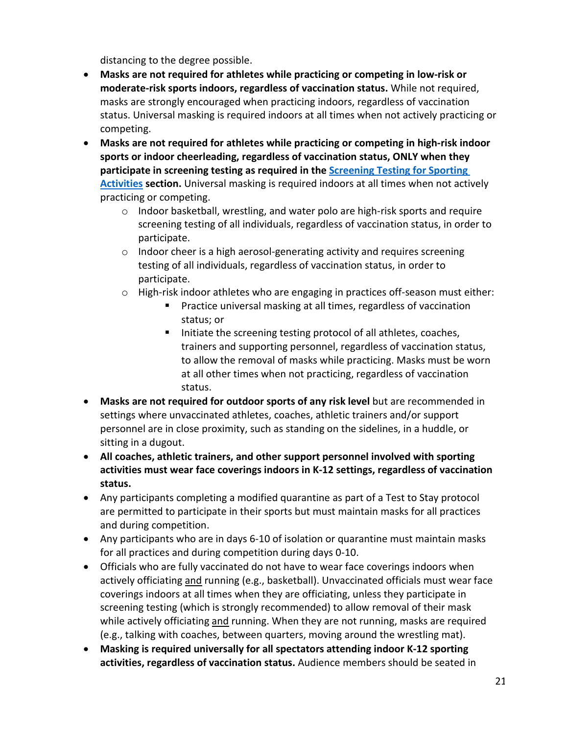distancing to the degree possible.

- **Masks are not required for athletes while practicing or competing in low-risk or moderate-risk sports indoors, regardless of vaccination status.** While not required, masks are strongly encouraged when practicing indoors, regardless of vaccination status. Universal masking is required indoors at all times when not actively practicing or competing.
- **Masks are not required for athletes while practicing or competing in high-risk indoor sports or indoor cheerleading, regardless of vaccination status, ONLY when they participate in screening testing as required in the [Screening Testing for Sporting](#page-21-0)  [Activities](#page-21-0) section.** Universal masking is required indoors at all times when not actively practicing or competing.
	- o Indoor basketball, wrestling, and water polo are high-risk sports and require screening testing of all individuals, regardless of vaccination status, in order to participate.
	- $\circ$  Indoor cheer is a high aerosol-generating activity and requires screening testing of all individuals, regardless of vaccination status, in order to participate.
	- $\circ$  High-risk indoor athletes who are engaging in practices off-season must either:
		- **Practice universal masking at all times, regardless of vaccination** status; or
		- Initiate the screening testing protocol of all athletes, coaches, trainers and supporting personnel, regardless of vaccination status, to allow the removal of masks while practicing. Masks must be worn at all other times when not practicing, regardless of vaccination status.
- **Masks are not required for outdoor sports of any risk level** but are recommended in settings where unvaccinated athletes, coaches, athletic trainers and/or support personnel are in close proximity, such as standing on the sidelines, in a huddle, or sitting in a dugout.
- **All coaches, athletic trainers, and other support personnel involved with sporting activities must wear face coverings indoors in K-12 settings, regardless of vaccination status.**
- Any participants completing a modified quarantine as part of a Test to Stay protocol are permitted to participate in their sports but must maintain masks for all practices and during competition.
- Any participants who are in days 6-10 of isolation or quarantine must maintain masks for all practices and during competition during days 0-10.
- Officials who are fully vaccinated do not have to wear face coverings indoors when actively officiating and running (e.g., basketball). Unvaccinated officials must wear face coverings indoors at all times when they are officiating, unless they participate in screening testing (which is strongly recommended) to allow removal of their mask while actively officiating and running. When they are not running, masks are required (e.g., talking with coaches, between quarters, moving around the wrestling mat).
- **Masking is required universally for all spectators attending indoor K-12 sporting activities, regardless of vaccination status.** Audience members should be seated in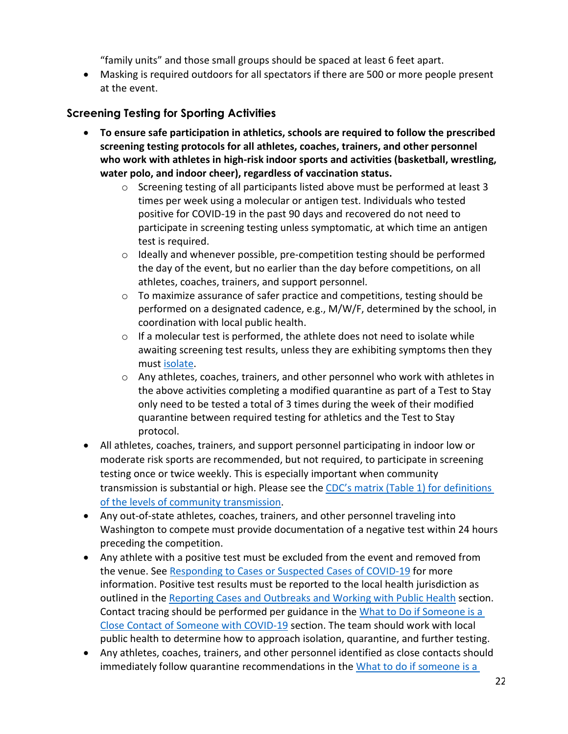"family units" and those small groups should be spaced at least 6 feet apart.

• Masking is required outdoors for all spectators if there are 500 or more people present at the event.

# <span id="page-21-0"></span>**Screening Testing for Sporting Activities**

- **To ensure safe participation in athletics, schools are required to follow the prescribed screening testing protocols for all athletes, coaches, trainers, and other personnel who work with athletes in high-risk indoor sports and activities (basketball, wrestling, water polo, and indoor cheer), regardless of vaccination status.**
	- $\circ$  Screening testing of all participants listed above must be performed at least 3 times per week using a molecular or antigen test. Individuals who tested positive for COVID-19 in the past 90 days and recovered do not need to participate in screening testing unless symptomatic, at which time an antigen test is required.
	- o Ideally and whenever possible, pre-competition testing should be performed the day of the event, but no earlier than the day before competitions, on all athletes, coaches, trainers, and support personnel.
	- o To maximize assurance of safer practice and competitions, testing should be performed on a designated cadence, e.g., M/W/F, determined by the school, in coordination with local public health.
	- o If a molecular test is performed, the athlete does not need to isolate while awaiting screening test results, unless they are exhibiting symptoms then they must [isolate.](#page-10-0)
	- o Any athletes, coaches, trainers, and other personnel who work with athletes in the above activities completing a modified quarantine as part of a Test to Stay only need to be tested a total of 3 times during the week of their modified quarantine between required testing for athletics and the Test to Stay protocol.
- All athletes, coaches, trainers, and support personnel participating in indoor low or moderate risk sports are recommended, but not required, to participate in screening testing once or twice weekly. This is especially important when community transmission is substantial or high. Please see the [CDC's matrix \(Table 1\) for definitions](https://www.cdc.gov/coronavirus/2019-ncov/community/schools-childcare/k-12-guidance.html)  [of the levels of community transmission.](https://www.cdc.gov/coronavirus/2019-ncov/community/schools-childcare/k-12-guidance.html)
- Any out-of-state athletes, coaches, trainers, and other personnel traveling into Washington to compete must provide documentation of a negative test within 24 hours preceding the competition.
- Any athlete with a positive test must be excluded from the event and removed from the venue. See [Responding to Cases or Suspected Cases of COVID-19](#page-9-0) for more information. Positive test results must be reported to the local health jurisdiction as outlined in the [Reporting Cases and Outbreaks and Working with Public Health](#page-13-0) section. Contact tracing should be performed per guidance in the [What to Do if Someone is a](#page-11-0)  [Close Contact of Someone with COVID-19](#page-11-0) section. The team should work with local public health to determine how to approach isolation, quarantine, and further testing.
- Any athletes, coaches, trainers, and other personnel identified as close contacts should immediately follow quarantine recommendations in the What to do if someone is a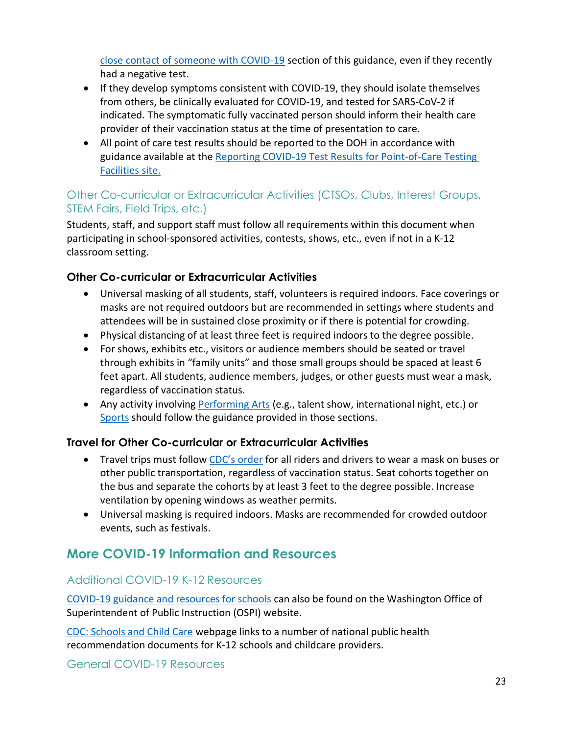[close contact of someone with COVID-19](#page-11-0) section of this guidance, even if they recently had a negative test.

- If they develop symptoms consistent with COVID-19, they should isolate themselves from others, be clinically evaluated for COVID-19, and tested for SARS-CoV-2 if indicated. The symptomatic fully vaccinated person should inform their health care provider of their vaccination status at the time of presentation to care.
- All point of care test results should be reported to the DOH in accordance with guidance available at the Reporting COVID-19 Test Results for Point-of-Care Testing [Facilities site.](https://www.doh.wa.gov/Emergencies/COVID19/HealthcareProviders/ReportingTestResults/ReportingCOVID19TestResultsforPointofCareTestingFacilities)

# <span id="page-22-0"></span>Other Co-curricular or Extracurricular Activities (CTSOs, Clubs, Interest Groups, STEM Fairs, Field Trips, etc.)

Students, staff, and support staff must follow all requirements within this document when participating in school-sponsored activities, contests, shows, etc., even if not in a K-12 classroom setting.

# **Other Co-curricular or Extracurricular Activities**

- Universal masking of all students, staff, volunteers is required indoors. Face coverings or masks are not required outdoors but are recommended in settings where students and attendees will be in sustained close proximity or if there is potential for crowding.
- Physical distancing of at least three feet is required indoors to the degree possible.
- For shows, exhibits etc., visitors or audience members should be seated or travel through exhibits in "family units" and those small groups should be spaced at least 6 feet apart. All students, audience members, judges, or other guests must wear a mask, regardless of vaccination status.
- Any activity involving **Performing Arts** (e.g., talent show, international night, etc.) or [Sports](#page-16-0) should follow the guidance provided in those sections.

## **Travel for Other Co-curricular or Extracurricular Activities**

- Travel trips must follo[w CDC's order](https://www.cdc.gov/coronavirus/2019-ncov/travelers/face-masks-public-transportation.html) for all riders and drivers to wear a mask on buses or other public transportation, regardless of vaccination status. Seat cohorts together on the bus and separate the cohorts by at least 3 feet to the degree possible. Increase ventilation by opening windows as weather permits.
- Universal masking is required indoors. Masks are recommended for crowded outdoor events, such as festivals.

# **More COVID-19 Information and Resources**

## Additional COVID-19 K-12 Resources

[COVID-19](https://www.k12.wa.us/about-ospi/press-releases/novel-coronavirus-covid-19-guidance-resources) guidance and resources for schools can also be found on the Washington Office of Superintendent of Public Instruction (OSPI) website.

CDC: [Schools](https://www.cdc.gov/coronavirus/2019-ncov/community/schools-childcare/index.html) and Child Care webpage links to a number of national public health recommendation documents for K-12 schools and childcare providers.

General COVID-19 Resources